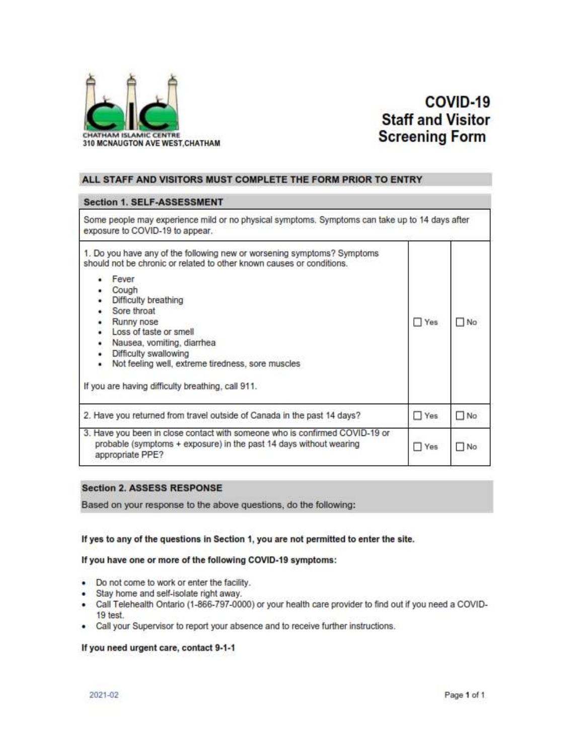

# COVID-19 **Staff and Visitor Screening Form**

### ALL STAFF AND VISITORS MUST COMPLETE THE FORM PRIOR TO ENTRY

## **Section 1. SELF-ASSESSMENT**

| Some people may experience mild or no physical symptoms. Symptoms can take up to 14 days after<br>exposure to COVID-19 to appear.                                                                                                                                                                                                                                                                                                 |            |           |
|-----------------------------------------------------------------------------------------------------------------------------------------------------------------------------------------------------------------------------------------------------------------------------------------------------------------------------------------------------------------------------------------------------------------------------------|------------|-----------|
| 1. Do you have any of the following new or worsening symptoms? Symptoms<br>should not be chronic or related to other known causes or conditions.<br>Fever<br>Cough<br>Difficulty breathing<br>Sore throat<br>Runny nose<br>٠<br>Loss of taste or smell<br>۰<br>Nausea, vomiting, diarrhea<br>٠<br>Difficulty swallowing<br>Not feeling well, extreme tiredness, sore muscles<br>If you are having difficulty breathing, call 911. | $\Box$ Yes | No.       |
| 2. Have you returned from travel outside of Canada in the past 14 days?                                                                                                                                                                                                                                                                                                                                                           | $\Box$ Yes | $\Box$ No |
| 3. Have you been in close contact with someone who is confirmed COVID-19 or<br>probable (symptoms + exposure) in the past 14 days without wearing<br>appropriate PPE?                                                                                                                                                                                                                                                             | Yes        | □ No      |

## **Section 2. ASSESS RESPONSE**

Based on your response to the above questions, do the following:

#### If yes to any of the questions in Section 1, you are not permitted to enter the site.

#### If you have one or more of the following COVID-19 symptoms:

- Do not come to work or enter the facility.
- Stay home and self-isolate right away.
- Call Telehealth Ontario (1-866-797-0000) or your health care provider to find out if you need a COVID-٠ 19 test.
- Call your Supervisor to report your absence and to receive further instructions.

#### If you need urgent care, contact 9-1-1